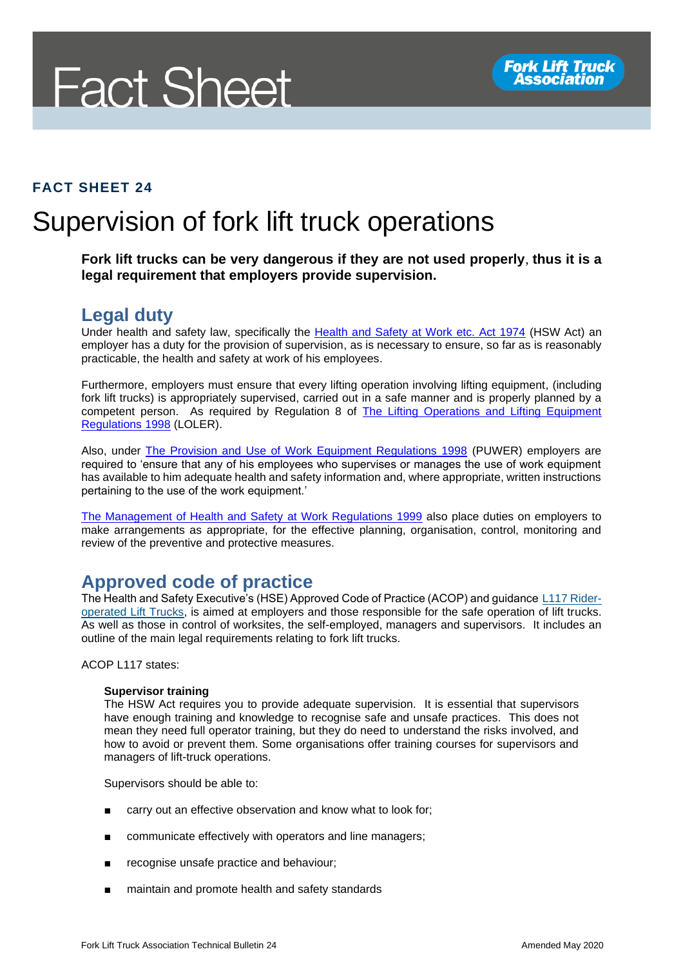# **Fact Sheet**

#### **FACT SHEET 24**

## Supervision of fork lift truck operations

**Fork lift trucks can be very dangerous if they are not used properly**, **thus it is a legal requirement that employers provide supervision.**

#### **Legal duty**

Under health and safety law, specifically the [Health and Safety at Work etc. Act 1974](http://www.legislation.gov.uk/ukpga/1974/37/section/2) (HSW Act) an employer has a duty for the provision of supervision, as is necessary to ensure, so far as is reasonably practicable, the health and safety at work of his employees.

Furthermore, employers must ensure that every lifting operation involving lifting equipment, (including fork lift trucks) is appropriately supervised, carried out in a safe manner and is properly planned by a competent person. As required by Regulation 8 of The Lifting Operations and Lifting Equipment [Regulations 1998](http://www.legislation.gov.uk/uksi/1998/2307/contents/made) (LOLER).

Also, under [The Provision and Use of Work Equipment Regulations 1998](http://www.legislation.gov.uk/uksi/1998/2306/contents/made) (PUWER) employers are required to 'ensure that any of his employees who supervises or manages the use of work equipment has available to him adequate health and safety information and, where appropriate, written instructions pertaining to the use of the work equipment.'

[The Management of Health and Safety](http://www.legislation.gov.uk/uksi/1999/3242/contents/made) at Work Regulations 1999 also place duties on employers to make arrangements as appropriate, for the effective planning, organisation, control, monitoring and review of the preventive and protective measures.

### **Approved code of practice**

The Health and Safety Executive's (HSE) Approved Code of Practice (ACOP) and guidance [L117 Rider](http://www.hse.gov.uk/pUbns/priced/l117.pdf)[operated Lift Trucks,](http://www.hse.gov.uk/pUbns/priced/l117.pdf) is aimed at employers and those responsible for the safe operation of lift trucks. As well as those in control of worksites, the self-employed, managers and supervisors. It includes an outline of the main legal requirements relating to fork lift trucks.

ACOP L117 states:

#### **Supervisor training**

The HSW Act requires you to provide adequate supervision. It is essential that supervisors have enough training and knowledge to recognise safe and unsafe practices. This does not mean they need full operator training, but they do need to understand the risks involved, and how to avoid or prevent them. Some organisations offer training courses for supervisors and managers of lift-truck operations.

Supervisors should be able to:

- carry out an effective observation and know what to look for;
- communicate effectively with operators and line managers;
- recognise unsafe practice and behaviour;
- maintain and promote health and safety standards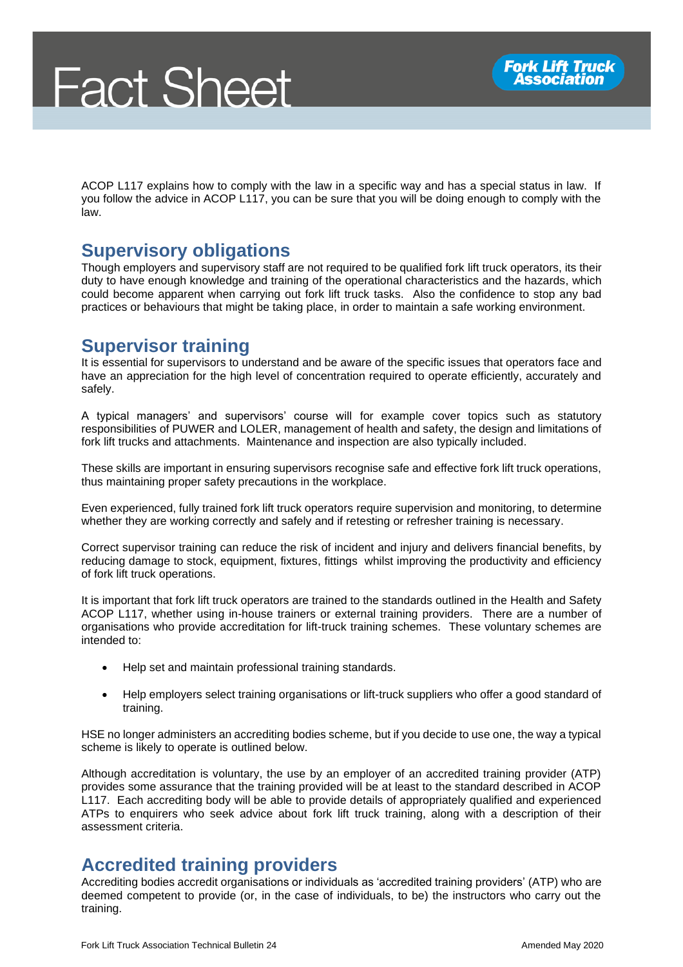ACOP L117 explains how to comply with the law in a specific way and has a special status in law. If you follow the advice in ACOP L117, you can be sure that you will be doing enough to comply with the law.

#### **Supervisory obligations**

Though employers and supervisory staff are not required to be qualified fork lift truck operators, its their duty to have enough knowledge and training of the operational characteristics and the hazards, which could become apparent when carrying out fork lift truck tasks. Also the confidence to stop any bad practices or behaviours that might be taking place, in order to maintain a safe working environment.

#### **Supervisor training**

It is essential for supervisors to understand and be aware of the specific issues that operators face and have an appreciation for the high level of concentration required to operate efficiently, accurately and safely.

A typical managers' and supervisors' course will for example cover topics such as statutory responsibilities of PUWER and LOLER, management of health and safety, the design and limitations of fork lift trucks and attachments. Maintenance and inspection are also typically included.

These skills are important in ensuring supervisors recognise safe and effective fork lift truck operations, thus maintaining proper safety precautions in the workplace.

Even experienced, fully trained fork lift truck operators require supervision and monitoring, to determine whether they are working correctly and safely and if retesting or refresher training is necessary.

Correct supervisor training can reduce the risk of incident and injury and delivers financial benefits, by reducing damage to stock, equipment, fixtures, fittings whilst improving the productivity and efficiency of fork lift truck operations.

It is important that fork lift truck operators are trained to the standards outlined in the Health and Safety ACOP L117, whether using in-house trainers or external training providers. There are a number of organisations who provide accreditation for lift-truck training schemes. These voluntary schemes are intended to:

- Help set and maintain professional training standards.
- Help employers select training organisations or lift-truck suppliers who offer a good standard of training.

HSE no longer administers an accrediting bodies scheme, but if you decide to use one, the way a typical scheme is likely to operate is outlined below.

Although accreditation is voluntary, the use by an employer of an accredited training provider (ATP) provides some assurance that the training provided will be at least to the standard described in ACOP L117. Each accrediting body will be able to provide details of appropriately qualified and experienced ATPs to enquirers who seek advice about fork lift truck training, along with a description of their assessment criteria.

#### **Accredited training providers**

Accrediting bodies accredit organisations or individuals as 'accredited training providers' (ATP) who are deemed competent to provide (or, in the case of individuals, to be) the instructors who carry out the training.